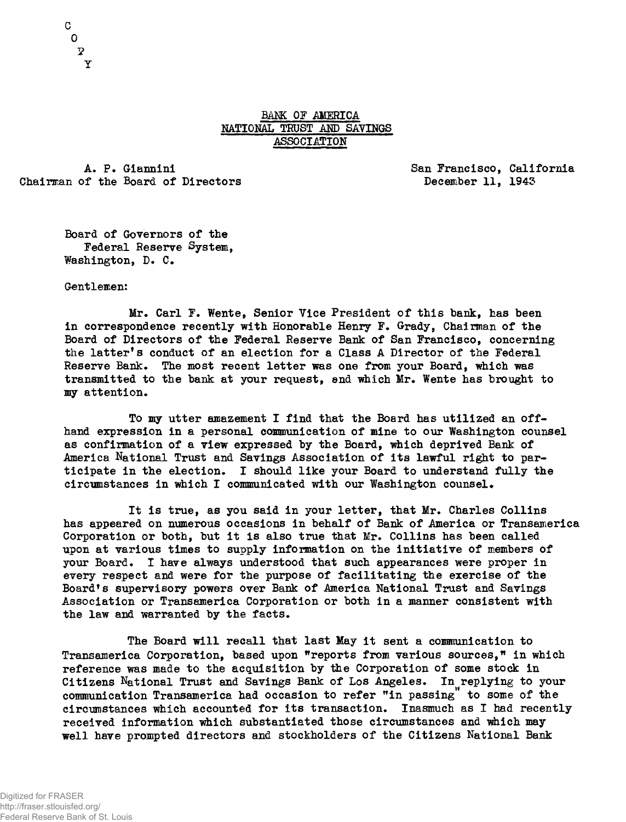## BANK OF AMERICA NATIONAL TRUST AMD SAYINGS ASSOCIATION

Chairman of the Board of Directors **Example 2018** December 11, 1943

A. P. Giannini **A. P. Giannini** San Francisco, California

Board of Governors of the Federal Reserve System, Washington, D. C.

Gentlemen:

Mr. Carl F. Wente, Senior Vice President of this bank, has been in correspondence recently with Honorable Henry F. Grady, Chairman of the Board of Directors of the Federal Reserve Bank of San Francisco, concerning the latter's conduct of an election for a Class A Director of the Federal Reserve Bank. The most recent letter was one from your Board, which was transmitted to the bank at your request, and which Mr. Wente has brought to my attention .

To my utter amazement I find that the Board has utilized an offhand expression in a personal communication of mine to our Washington counsel as confirmation of a view expressed by the Board, which deprived Bank of America National Trust and Savings Association of its lawful right to participate in the election. I should like your Board to understand fully the circumstances in which I communicated with our Washington counsel.

It is true, as you said in your letter, that Mr. Charles Collins has appeared on numerous occasions in behalf of Bank of America or Transamerica Corporation or both, but it is also true that  $Mr.$  Collins has been called upon at various times to supply information on the initiative of members of your Board. I have always understood that such appearances were proper in every respect and were for the purpose of facilitating the exercise of the Board's supervisory powers over Bank of America National Trust and Savings Association or Transamerica Corporation or both in a manner consistent with the law and warranted by the facts.

The Board will recall that last May it sent a communication to Transamerica Corporation, based upon "reports from various sources," in which reference was made to the acquisition by the Corporation of some stock in Citizens National Trust and Savings Bank of Los Angeles. In replying to your communication Transamerica had occasion to refer "in passing" to some of the circumstances which accounted for its transaction. Inasmuch as I had recently received information which substantiated those circumstances and which may well have prompted directors and stockholders of the Citizens National Bank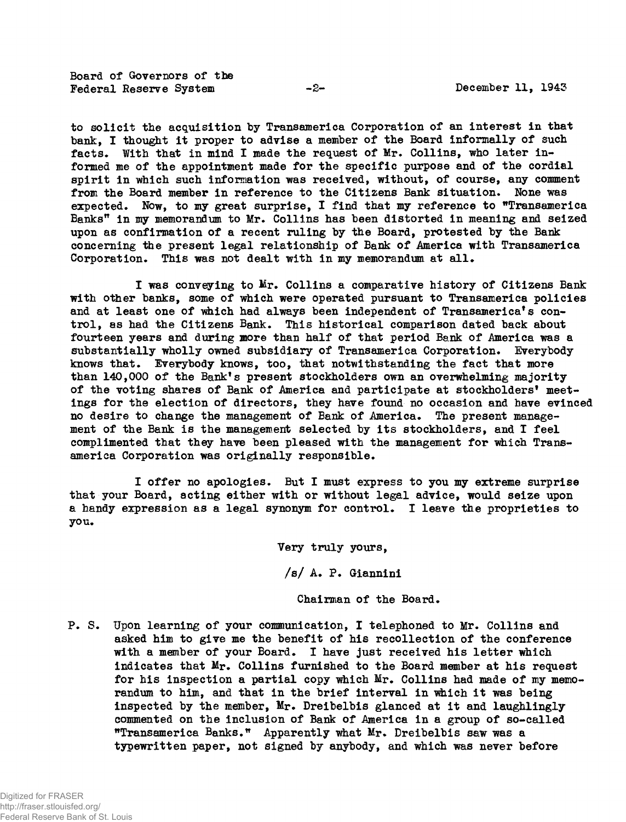Board of Governors of the Federal Reserve System  $-2$  -  $-$  December 11, 1943

to solicit the acquisition by Transamerica Corporation of an interest in that bank, I thought it proper to advise a member of the Board informally of such facts. With that in mind I made the request of Mr. Collins, who later informed me of the appointment made for the specific purpose and of the cordial spirit in which such information was received, without, of course, any comment from the Board member in reference to the Citizens Bank situation. None was expected. Now, to my great surprise, I find that my reference to "Transamerica Banks" in my memorandum to Mr. Collins has been distorted in meaning and seized upon as confirmation of a recent ruling by the Board, protested by the Bank concerning the present legal relationship of Bank of America with Transamerica Corporation. This was not dealt with in my memorandum at all.

I was conveying to Mr. Collins a comparative history of Citizens Bank with other banks, some of which were operated pursuant to Transamerica policies and at least one of which had always been independent of Transamerica's control, as had the Citizens Bank. This historical comparison dated back about fourteen years and during more than half of that period Bank of America was a substantially wholly owned subsidiary of Transamerica Corporation. Everybody knows that. Everybody knows, too, that notwithstanding the fact that more than 140,000 of the Bank's present stockholders own an overwhelming majority of the voting shares of Bank of America and participate at stockholders' meetings for the election of directors, they have found no occasion and have evinced no desire to change the management of Bank of America. The present management of the Bank is the management selected by its stockholders, and I feel complimented that they have been pleased with the management for which Transamerica Corporation was originally responsible.

I offer no apologies. But I must express to you my extreme surprise that your Board, acting either with or without legal advice, would seize upon a handy expression as a legal synonym for control. I leave the proprieties to you.

Very truly yours,

 $/s/$  A. P. Giannini

Chairman of the Board.

P. S. Upon learning of your communication, I telephoned to Mr. Collins and asked him to give me the benefit of his recollection of the conference with a member of your Board. I have just received his letter which indicates that  $M_{r}$ . Collins furnished to the Board member at his request for his inspection a partial copy which  $Mr.$  Collins had made of my memorandum to him, and that in the brief interval in which it was being inspected by the member, Mr. Dreibelbis glanced at it and laughlingly commented on the inclusion of Bank of America in a group of so-called "Transamerica Banks." Apparently what Mr. Dreibelbis saw was a typewritten paper, not signed by anybody, and which was never before